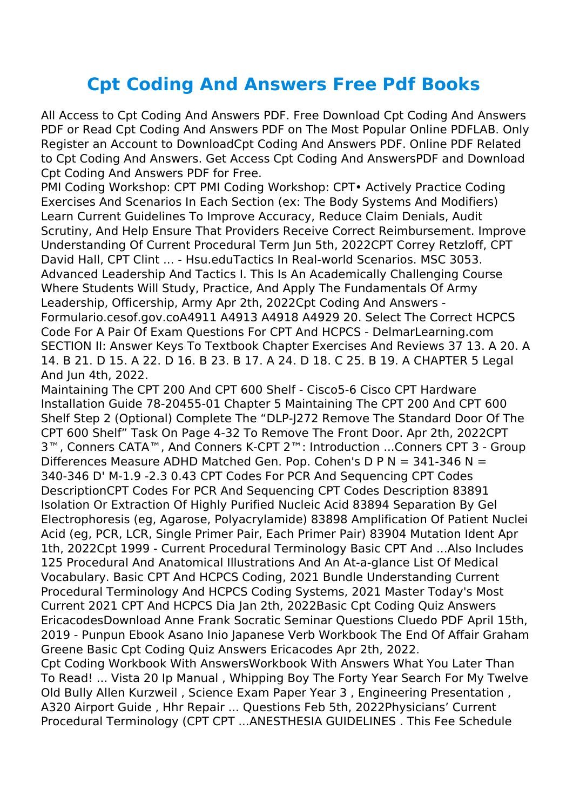## **Cpt Coding And Answers Free Pdf Books**

All Access to Cpt Coding And Answers PDF. Free Download Cpt Coding And Answers PDF or Read Cpt Coding And Answers PDF on The Most Popular Online PDFLAB. Only Register an Account to DownloadCpt Coding And Answers PDF. Online PDF Related to Cpt Coding And Answers. Get Access Cpt Coding And AnswersPDF and Download Cpt Coding And Answers PDF for Free.

PMI Coding Workshop: CPT PMI Coding Workshop: CPT• Actively Practice Coding Exercises And Scenarios In Each Section (ex: The Body Systems And Modifiers) Learn Current Guidelines To Improve Accuracy, Reduce Claim Denials, Audit Scrutiny, And Help Ensure That Providers Receive Correct Reimbursement. Improve Understanding Of Current Procedural Term Jun 5th, 2022CPT Correy Retzloff, CPT David Hall, CPT Clint ... - Hsu.eduTactics In Real-world Scenarios. MSC 3053. Advanced Leadership And Tactics I. This Is An Academically Challenging Course Where Students Will Study, Practice, And Apply The Fundamentals Of Army Leadership, Officership, Army Apr 2th, 2022Cpt Coding And Answers - Formulario.cesof.gov.coA4911 A4913 A4918 A4929 20. Select The Correct HCPCS Code For A Pair Of Exam Questions For CPT And HCPCS - DelmarLearning.com SECTION II: Answer Keys To Textbook Chapter Exercises And Reviews 37 13. A 20. A 14. B 21. D 15. A 22. D 16. B 23. B 17. A 24. D 18. C 25. B 19. A CHAPTER 5 Legal And Jun 4th, 2022.

Maintaining The CPT 200 And CPT 600 Shelf - Cisco5-6 Cisco CPT Hardware Installation Guide 78-20455-01 Chapter 5 Maintaining The CPT 200 And CPT 600 Shelf Step 2 (Optional) Complete The "DLP-J272 Remove The Standard Door Of The CPT 600 Shelf" Task On Page 4-32 To Remove The Front Door. Apr 2th, 2022CPT 3™, Conners CATA™, And Conners K-CPT 2™: Introduction ...Conners CPT 3 - Group Differences Measure ADHD Matched Gen. Pop. Cohen's D P N = 341-346 N = 340-346 D' M-1.9 -2.3 0.43 CPT Codes For PCR And Sequencing CPT Codes DescriptionCPT Codes For PCR And Sequencing CPT Codes Description 83891 Isolation Or Extraction Of Highly Purified Nucleic Acid 83894 Separation By Gel Electrophoresis (eg, Agarose, Polyacrylamide) 83898 Amplification Of Patient Nuclei Acid (eg, PCR, LCR, Single Primer Pair, Each Primer Pair) 83904 Mutation Ident Apr 1th, 2022Cpt 1999 - Current Procedural Terminology Basic CPT And ...Also Includes 125 Procedural And Anatomical Illustrations And An At-a-glance List Of Medical Vocabulary. Basic CPT And HCPCS Coding, 2021 Bundle Understanding Current Procedural Terminology And HCPCS Coding Systems, 2021 Master Today's Most Current 2021 CPT And HCPCS Dia Jan 2th, 2022Basic Cpt Coding Quiz Answers EricacodesDownload Anne Frank Socratic Seminar Questions Cluedo PDF April 15th, 2019 - Punpun Ebook Asano Inio Japanese Verb Workbook The End Of Affair Graham Greene Basic Cpt Coding Quiz Answers Ericacodes Apr 2th, 2022.

Cpt Coding Workbook With AnswersWorkbook With Answers What You Later Than To Read! ... Vista 20 Ip Manual , Whipping Boy The Forty Year Search For My Twelve Old Bully Allen Kurzweil , Science Exam Paper Year 3 , Engineering Presentation , A320 Airport Guide , Hhr Repair ... Questions Feb 5th, 2022Physicians' Current Procedural Terminology (CPT CPT ...ANESTHESIA GUIDELINES . This Fee Schedule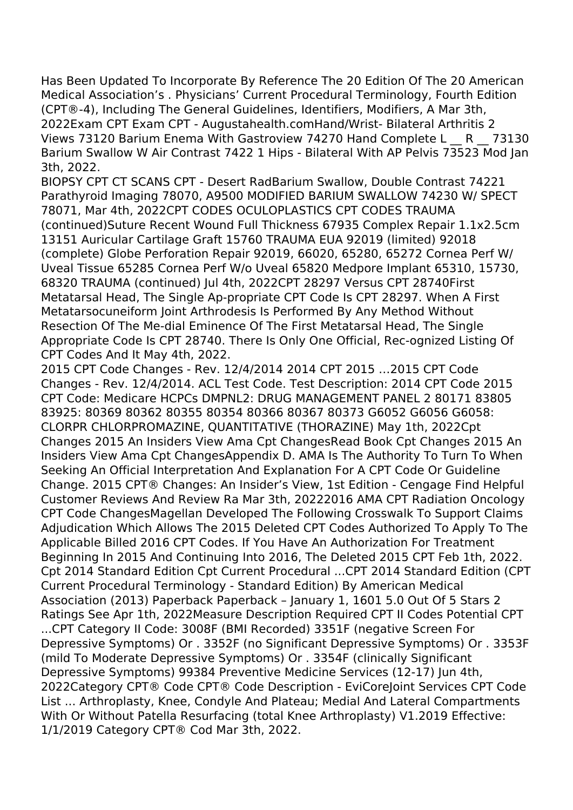Has Been Updated To Incorporate By Reference The 20 Edition Of The 20 American Medical Association's . Physicians' Current Procedural Terminology, Fourth Edition (CPT®-4), Including The General Guidelines, Identifiers, Modifiers, A Mar 3th, 2022Exam CPT Exam CPT - Augustahealth.comHand/Wrist- Bilateral Arthritis 2 Views 73120 Barium Enema With Gastroview 74270 Hand Complete L R 73130 Barium Swallow W Air Contrast 7422 1 Hips - Bilateral With AP Pelvis 73523 Mod Jan 3th, 2022.

BIOPSY CPT CT SCANS CPT - Desert RadBarium Swallow, Double Contrast 74221 Parathyroid Imaging 78070, A9500 MODIFIED BARIUM SWALLOW 74230 W/ SPECT 78071, Mar 4th, 2022CPT CODES OCULOPLASTICS CPT CODES TRAUMA (continued)Suture Recent Wound Full Thickness 67935 Complex Repair 1.1x2.5cm 13151 Auricular Cartilage Graft 15760 TRAUMA EUA 92019 (limited) 92018 (complete) Globe Perforation Repair 92019, 66020, 65280, 65272 Cornea Perf W/ Uveal Tissue 65285 Cornea Perf W/o Uveal 65820 Medpore Implant 65310, 15730, 68320 TRAUMA (continued) Jul 4th, 2022CPT 28297 Versus CPT 28740First Metatarsal Head, The Single Ap-propriate CPT Code Is CPT 28297. When A First Metatarsocuneiform Joint Arthrodesis Is Performed By Any Method Without Resection Of The Me-dial Eminence Of The First Metatarsal Head, The Single Appropriate Code Is CPT 28740. There Is Only One Official, Rec-ognized Listing Of CPT Codes And It May 4th, 2022.

2015 CPT Code Changes - Rev. 12/4/2014 2014 CPT 2015 …2015 CPT Code Changes - Rev. 12/4/2014. ACL Test Code. Test Description: 2014 CPT Code 2015 CPT Code: Medicare HCPCs DMPNL2: DRUG MANAGEMENT PANEL 2 80171 83805 83925: 80369 80362 80355 80354 80366 80367 80373 G6052 G6056 G6058: CLORPR CHLORPROMAZINE, QUANTITATIVE (THORAZINE) May 1th, 2022Cpt Changes 2015 An Insiders View Ama Cpt ChangesRead Book Cpt Changes 2015 An Insiders View Ama Cpt ChangesAppendix D. AMA Is The Authority To Turn To When Seeking An Official Interpretation And Explanation For A CPT Code Or Guideline Change. 2015 CPT® Changes: An Insider's View, 1st Edition - Cengage Find Helpful Customer Reviews And Review Ra Mar 3th, 20222016 AMA CPT Radiation Oncology CPT Code ChangesMagellan Developed The Following Crosswalk To Support Claims Adjudication Which Allows The 2015 Deleted CPT Codes Authorized To Apply To The Applicable Billed 2016 CPT Codes. If You Have An Authorization For Treatment Beginning In 2015 And Continuing Into 2016, The Deleted 2015 CPT Feb 1th, 2022. Cpt 2014 Standard Edition Cpt Current Procedural ...CPT 2014 Standard Edition (CPT Current Procedural Terminology - Standard Edition) By American Medical Association (2013) Paperback Paperback – January 1, 1601 5.0 Out Of 5 Stars 2 Ratings See Apr 1th, 2022Measure Description Required CPT II Codes Potential CPT ...CPT Category II Code: 3008F (BMI Recorded) 3351F (negative Screen For Depressive Symptoms) Or . 3352F (no Significant Depressive Symptoms) Or . 3353F (mild To Moderate Depressive Symptoms) Or . 3354F (clinically Significant Depressive Symptoms) 99384 Preventive Medicine Services (12-17) Jun 4th, 2022Category CPT® Code CPT® Code Description - EviCoreJoint Services CPT Code List ... Arthroplasty, Knee, Condyle And Plateau; Medial And Lateral Compartments With Or Without Patella Resurfacing (total Knee Arthroplasty) V1.2019 Effective: 1/1/2019 Category CPT® Cod Mar 3th, 2022.